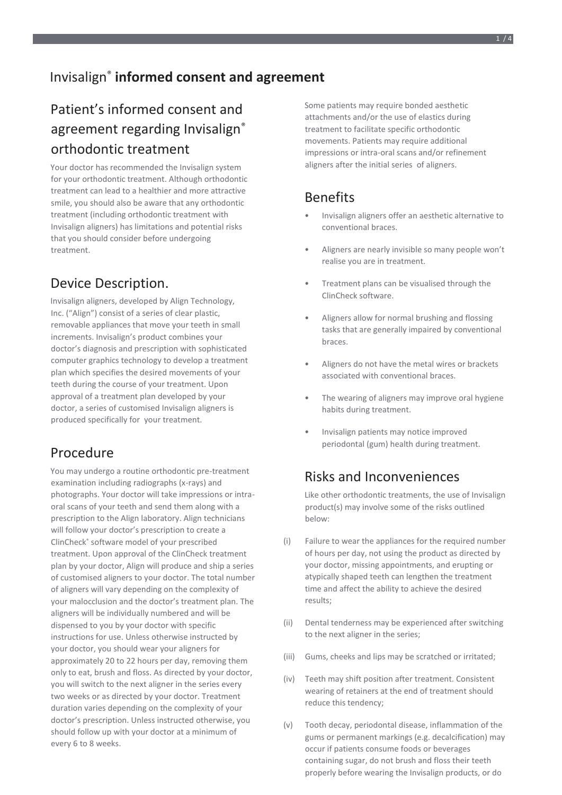# Patient's informed consent and agreement regarding Invisalign<sup>®</sup> orthodontic treatment

Your doctor has recommended the Invisalign system for your orthodontic treatment. Although orthodontic treatment can lead to a healthier and more attractive smile, you should also be aware that any orthodontic treatment (including orthodontic treatment with Invisalign aligners) has limitations and potential risks that you should consider before undergoing treatment.

## Device Description.

Invisalign aligners, developed by Align Technology, Inc. ("Align") consist of a series of clear plastic, removable appliances that move your teeth in small increments. Invisalign's product combines your doctor's diagnosis and prescription with sophisticated computer graphics technology to develop a treatment plan which specifies the desired movements of your teeth during the course of your treatment. Upon approval of a treatment plan developed by your doctor, a series of customised Invisalign aligners is produced specifically for your treatment.

## Procedure

You may undergo a routine orthodontic pre-treatment examination including radiographs (x-rays) and photographs. Your doctor will take impressions or intraoral scans of your teeth and send them along with a prescription to the Align laboratory. Align technicians will follow your doctor's prescription to create a ClinCheck® software model of your prescribed treatment. Upon approval of the ClinCheck treatment plan by your doctor, Align will produce and ship a series of customised aligners to your doctor. The total number of aligners will vary depending on the complexity of your malocclusion and the doctor's treatment plan. The aligners will be individually numbered and will be dispensed to you by your doctor with specific instructions for use. Unless otherwise instructed by your doctor, you should wear your aligners for approximately 20 to 22 hours per day, removing them only to eat, brush and floss. As directed by your doctor, you will switch to the next aligner in the series every two weeks or as directed by your doctor. Treatment duration varies depending on the complexity of your doctor's prescription. Unless instructed otherwise, you should follow up with your doctor at a minimum of every 6 to 8 weeks.

Some patients may require bonded aesthetic attachments and/or the use of elastics during treatment to facilitate specific orthodontic movements. Patients may require additional impressions or intra-oral scans and/or refinement aligners after the initial series of aligners.

## **Benefits**

- Invisalign aligners offer an aesthetic alternative to conventional braces.
- Aligners are nearly invisible so many people won't realise you are in treatment.
- Treatment plans can be visualised through the ClinCheck software.
- Aligners allow for normal brushing and flossing tasks that are generally impaired by conventional braces.
- Aligners do not have the metal wires or brackets associated with conventional braces.
- The wearing of aligners may improve oral hygiene habits during treatment.
- Invisalign patients may notice improved periodontal (gum) health during treatment.

## Risks and Inconveniences

Like other orthodontic treatments, the use of Invisalign product(s) may involve some of the risks outlined below:

- (i) Failure to wear the appliances for the required number of hours per day, not using the product as directed by your doctor, missing appointments, and erupting or atypically shaped teeth can lengthen the treatment time and affect the ability to achieve the desired results;
- (ii) Dental tenderness may be experienced after switching to the next aligner in the series;
- (iii) Gums, cheeks and lips may be scratched or irritated;
- (iv) Teeth may shift position after treatment. Consistent wearing of retainers at the end of treatment should reduce this tendency;
- (v) Tooth decay, periodontal disease, inflammation of the gums or permanent markings (e.g. decalcification) may occur if patients consume foods or beverages containing sugar, do not brush and floss their teeth properly before wearing the Invisalign products, or do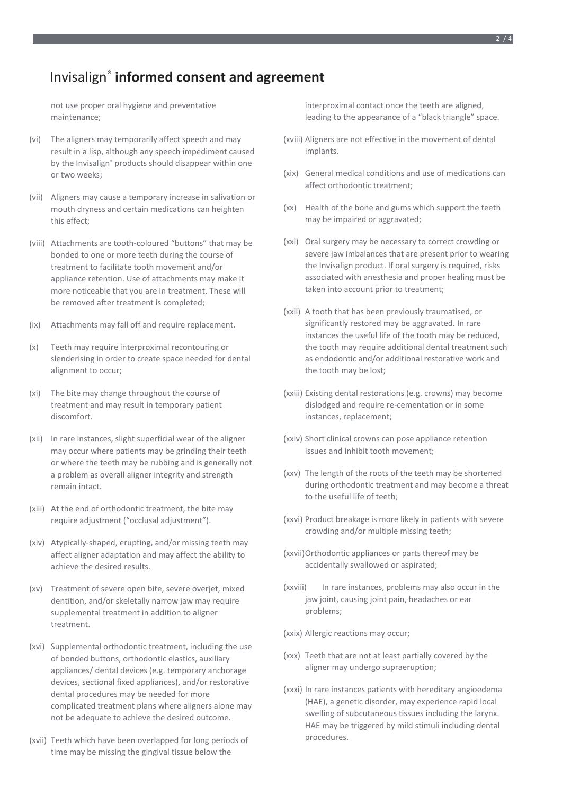### Invisalign® **informed consent and agreement**

not use proper oral hygiene and preventative maintenance;

- (vi) The aligners may temporarily affect speech and may result in a lisp, although any speech impediment caused by the Invisalign® products should disappear within one or two weeks;
- (vii) Aligners may cause a temporary increase in salivation or mouth dryness and certain medications can heighten this effect;
- (viii) Attachments are tooth-coloured "buttons" that may be bonded to one or more teeth during the course of treatment to facilitate tooth movement and/or appliance retention. Use of attachments may make it more noticeable that you are in treatment. These will be removed after treatment is completed;
- (ix) Attachments may fall off and require replacement.
- (x) Teeth may require interproximal recontouring or slenderising in order to create space needed for dental alignment to occur;
- (xi) The bite may change throughout the course of treatment and may result in temporary patient discomfort.
- (xii) In rare instances, slight superficial wear of the aligner may occur where patients may be grinding their teeth or where the teeth may be rubbing and is generally not a problem as overall aligner integrity and strength remain intact.
- (xiii) At the end of orthodontic treatment, the bite may require adjustment ("occlusal adjustment").
- (xiv) Atypically-shaped, erupting, and/or missing teeth may affect aligner adaptation and may affect the ability to achieve the desired results.
- (xv) Treatment of severe open bite, severe overjet, mixed dentition, and/or skeletally narrow jaw may require supplemental treatment in addition to aligner treatment.
- (xvi) Supplemental orthodontic treatment, including the use of bonded buttons, orthodontic elastics, auxiliary appliances/ dental devices (e.g. temporary anchorage devices, sectional fixed appliances), and/or restorative dental procedures may be needed for more complicated treatment plans where aligners alone may not be adequate to achieve the desired outcome.
- (xvii) Teeth which have been overlapped for long periods of time may be missing the gingival tissue below the

interproximal contact once the teeth are aligned, leading to the appearance of a "black triangle" space.

- (xviii) Aligners are not effective in the movement of dental implants.
- (xix) General medical conditions and use of medications can affect orthodontic treatment;
- (xx) Health of the bone and gums which support the teeth may be impaired or aggravated;
- (xxi) Oral surgery may be necessary to correct crowding or severe jaw imbalances that are present prior to wearing the Invisalign product. If oral surgery is required, risks associated with anesthesia and proper healing must be taken into account prior to treatment;
- (xxii) A tooth that has been previously traumatised, or significantly restored may be aggravated. In rare instances the useful life of the tooth may be reduced, the tooth may require additional dental treatment such as endodontic and/or additional restorative work and the tooth may be lost;
- (xxiii) Existing dental restorations (e.g. crowns) may become dislodged and require re-cementation or in some instances, replacement;
- (xxiv) Short clinical crowns can pose appliance retention issues and inhibit tooth movement;
- (xxv) The length of the roots of the teeth may be shortened during orthodontic treatment and may become a threat to the useful life of teeth;
- (xxvi) Product breakage is more likely in patients with severe crowding and/or multiple missing teeth;
- (xxvii)Orthodontic appliances or parts thereof may be accidentally swallowed or aspirated;
- (xxviii) In rare instances, problems may also occur in the jaw joint, causing joint pain, headaches or ear problems;
- (xxix) Allergic reactions may occur;
- (xxx) Teeth that are not at least partially covered by the aligner may undergo supraeruption;
- (xxxi) In rare instances patients with hereditary angioedema (HAE), a genetic disorder, may experience rapid local swelling of subcutaneous tissues including the larynx. HAE may be triggered by mild stimuli including dental procedures.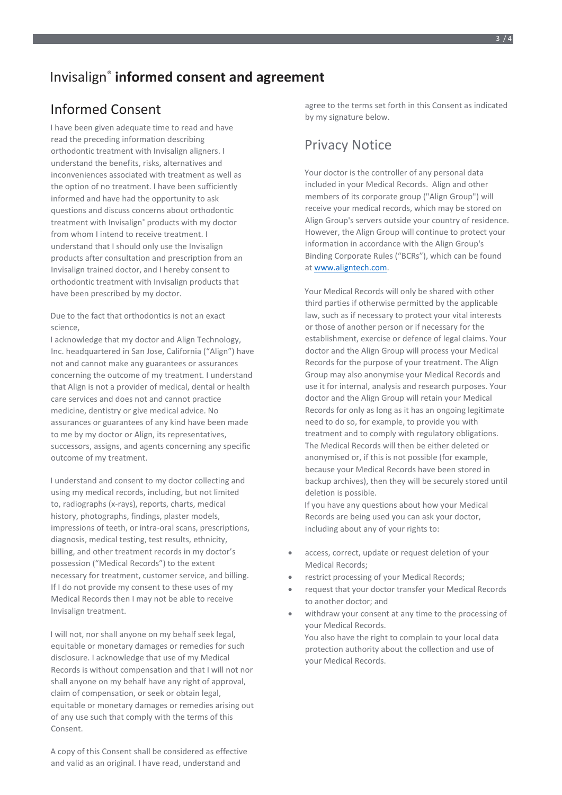### Invisalign® **informed consent and agreement**

### Informed Consent

I have been given adequate time to read and have read the preceding information describing orthodontic treatment with Invisalign aligners. I understand the benefits, risks, alternatives and inconveniences associated with treatment as well as the option of no treatment. I have been sufficiently informed and have had the opportunity to ask questions and discuss concerns about orthodontic treatment with Invisalign® products with my doctor from whom I intend to receive treatment. I understand that I should only use the Invisalign products after consultation and prescription from an Invisalign trained doctor, and I hereby consent to orthodontic treatment with Invisalign products that have been prescribed by my doctor.

Due to the fact that orthodontics is not an exact science,

I acknowledge that my doctor and Align Technology, Inc. headquartered in San Jose, California ("Align") have not and cannot make any guarantees or assurances concerning the outcome of my treatment. I understand that Align is not a provider of medical, dental or health care services and does not and cannot practice medicine, dentistry or give medical advice. No assurances or guarantees of any kind have been made to me by my doctor or Align, its representatives, successors, assigns, and agents concerning any specific outcome of my treatment.

I understand and consent to my doctor collecting and using my medical records, including, but not limited to, radiographs (x-rays), reports, charts, medical history, photographs, findings, plaster models, impressions of teeth, or intra-oral scans, prescriptions, diagnosis, medical testing, test results, ethnicity, billing, and other treatment records in my doctor's possession ("Medical Records") to the extent necessary for treatment, customer service, and billing. If I do not provide my consent to these uses of my Medical Records then I may not be able to receive Invisalign treatment.

I will not, nor shall anyone on my behalf seek legal, equitable or monetary damages or remedies for such disclosure. I acknowledge that use of my Medical Records is without compensation and that I will not nor shall anyone on my behalf have any right of approval, claim of compensation, or seek or obtain legal, equitable or monetary damages or remedies arising out of any use such that comply with the terms of this Consent.

A copy of this Consent shall be considered as effective and valid as an original. I have read, understand and

agree to the terms set forth in this Consent as indicated by my signature below.

#### Privacy Notice

Your doctor is the controller of any personal data included in your Medical Records. Align and other members of its corporate group ("Align Group") will receive your medical records, which may be stored on Align Group's servers outside your country of residence. However, the Align Group will continue to protect your information in accordance with the Align Group's Binding Corporate Rules ("BCRs"), which can be found at [www.aligntech.com.](http://www.aligntech.com/)

Your Medical Records will only be shared with other third parties if otherwise permitted by the applicable law, such as if necessary to protect your vital interests or those of another person or if necessary for the establishment, exercise or defence of legal claims. Your doctor and the Align Group will process your Medical Records for the purpose of your treatment. The Align Group may also anonymise your Medical Records and use it for internal, analysis and research purposes. Your doctor and the Align Group will retain your Medical Records for only as long as it has an ongoing legitimate need to do so, for example, to provide you with treatment and to comply with regulatory obligations. The Medical Records will then be either deleted or anonymised or, if this is not possible (for example, because your Medical Records have been stored in backup archives), then they will be securely stored until deletion is possible.

If you have any questions about how your Medical Records are being used you can ask your doctor, including about any of your rights to:

- access, correct, update or request deletion of your Medical Records;
- restrict processing of your Medical Records;
- request that your doctor transfer your Medical Records to another doctor; and
- withdraw your consent at any time to the processing of your Medical Records. You also have the right to complain to your local data protection authority about the collection and use of your Medical Records.